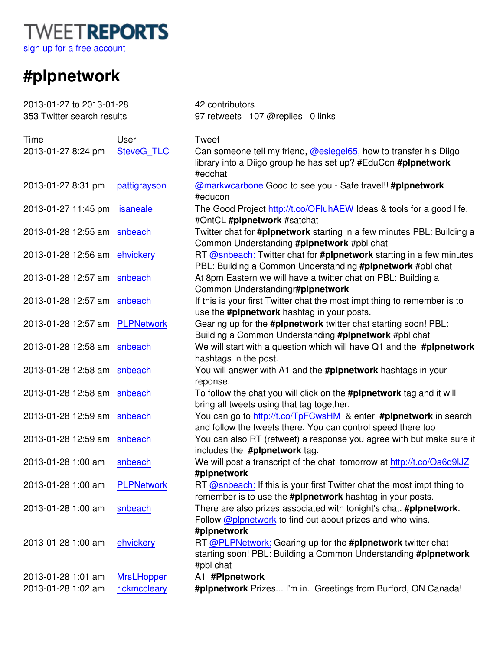

## **#plpnetwork**

2013-01-27 to 2013-01-28 42 contributors 353 Twitter search results 97 retweets 107 @replies 0 links Time User Tweet 2013-01-27 8:24 pm [SteveG\\_TLC](http://twitter.com/SteveG_TLC) Can someone tell my friend, [@esiegel65,](http://twitter.com/esiegel65,) how to transfer his Diigo library into a Diigo group he has set up? #EduCon **#plpnetwork** #edchat 2013-01-27 8:31 pm [pattigrayson](http://twitter.com/pattigrayson) [@markwcarbone](http://twitter.com/markwcarbone) Good to see you - Safe travel!! **#plpnetwork** #educon 2013-01-27 11:45 pm [lisaneale](http://twitter.com/lisaneale) The Good Project <http://t.co/OFIuhAEW>Ideas & tools for a good life. #OntCL **#plpnetwork** #satchat 2013-01-28 12:55 am [snbeach](http://twitter.com/snbeach) Twitter chat for **#plpnetwork** starting in a few minutes PBL: Building a Common Understanding **#plpnetwork** #pbl chat 2013-01-28 12:56 am [ehvickery](http://twitter.com/ehvickery) RT [@snbeach:](http://twitter.com/snbeach) Twitter chat for **#plpnetwork** starting in a few minutes PBL: Building a Common Understanding **#plpnetwork** #pbl chat 2013-01-28 12:57 am [snbeach](http://twitter.com/snbeach) At 8pm Eastern we will have a twitter chat on PBL: Building a Common Understandingr**#plpnetwork** 2013-01-28 12:57 am [snbeach](http://twitter.com/snbeach) If this is your first Twitter chat the most impt thing to remember is to use the **#plpnetwork** hashtag in your posts. 2013-01-28 12:57 am [PLPNetwork](http://twitter.com/PLPNetwork) Gearing up for the **#plpnetwork** twitter chat starting soon! PBL: Building a Common Understanding **#plpnetwork** #pbl chat 2013-01-28 12:58 am [snbeach](http://twitter.com/snbeach) We will start with a question which will have Q1 and the **#plpnetwork** hashtags in the post. 2013-01-28 12:58 am [snbeach](http://twitter.com/snbeach) You will answer with A1 and the **#plpnetwork** hashtags in your reponse. 2013-01-28 12:58 am [snbeach](http://twitter.com/snbeach) To follow the chat you will click on the **#plpnetwork** tag and it will bring all tweets using that tag together. 2013-01-28 12:59 am [snbeach](http://twitter.com/snbeach) You can go to<http://t.co/TpFCwsHM>& enter **#plpnetwork** in search and follow the tweets there. You can control speed there too 2013-01-28 12:59 am [snbeach](http://twitter.com/snbeach) You can also RT (retweet) a response you agree with but make sure it includes the **#plpnetwork** tag. 2013-01-28 1:00 am [snbeach](http://twitter.com/snbeach) We will post a transcript of the chat tomorrow at<http://t.co/Oa6q9lJZ> **#plpnetwork** 2013-01-28 1:00 am [PLPNetwork](http://twitter.com/PLPNetwork) RT [@snbeach:](http://twitter.com/snbeach) If this is your first Twitter chat the most impt thing to remember is to use the **#plpnetwork** hashtag in your posts. 2013-01-28 1:00 am [snbeach](http://twitter.com/snbeach) There are also prizes associated with tonight's chat. **#plpnetwork**. Follow [@plpnetwork](http://twitter.com/plpnetwork) to find out about prizes and who wins. **#plpnetwork** 2013-01-28 1:00 am [ehvickery](http://twitter.com/ehvickery) RT [@PLPNetwork:](http://twitter.com/plpnetwork) Gearing up for the **#plpnetwork** twitter chat starting soon! PBL: Building a Common Understanding **#plpnetwork** #pbl chat 2013-01-28 1:01 am [MrsLHopper](http://twitter.com/MrsLHopper) A1 **#Plpnetwork** 2013-01-28 1:02 am [rickmccleary](http://twitter.com/rickmccleary) **#plpnetwork** Prizes... I'm in. Greetings from Burford, ON Canada!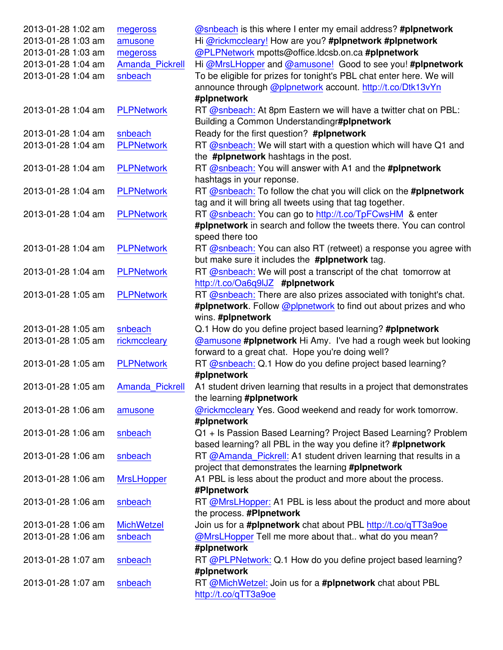| 2013-01-28 1:02 am | megeross               | <b>@snbeach</b> is this where I enter my email address? <b>#plpnetwork</b> |
|--------------------|------------------------|----------------------------------------------------------------------------|
| 2013-01-28 1:03 am | amusone                | Hi @rickmccleary! How are you? #plpnetwork #plpnetwork                     |
| 2013-01-28 1:03 am | megeross               | @PLPNetwork mpotts@office.ldcsb.on.ca #plpnetwork                          |
| 2013-01-28 1:04 am | Amanda Pickrell        | Hi @MrsLHopper and @amusone! Good to see you! #plpnetwork                  |
| 2013-01-28 1:04 am | snbeach                | To be eligible for prizes for tonight's PBL chat enter here. We will       |
|                    |                        | announce through @plpnetwork account. http://t.co/Dtk13vYn                 |
|                    |                        | #plpnetwork                                                                |
| 2013-01-28 1:04 am | <b>PLPNetwork</b>      | RT @snbeach: At 8pm Eastern we will have a twitter chat on PBL:            |
|                    |                        | Building a Common Understandingr#plpnetwork                                |
| 2013-01-28 1:04 am | snbeach                | Ready for the first question? #plpnetwork                                  |
|                    |                        |                                                                            |
| 2013-01-28 1:04 am | <b>PLPNetwork</b>      | RT @snbeach: We will start with a question which will have Q1 and          |
|                    |                        | the #plpnetwork hashtags in the post.                                      |
| 2013-01-28 1:04 am | <b>PLPNetwork</b>      | RT @snbeach: You will answer with A1 and the #plpnetwork                   |
|                    |                        | hashtags in your reponse.                                                  |
| 2013-01-28 1:04 am | <b>PLPNetwork</b>      | RT @snbeach: To follow the chat you will click on the #plpnetwork          |
|                    |                        | tag and it will bring all tweets using that tag together.                  |
| 2013-01-28 1:04 am | <b>PLPNetwork</b>      | RT @snbeach: You can go to http://t.co/TpFCwsHM & enter                    |
|                    |                        | #plpnetwork in search and follow the tweets there. You can control         |
|                    |                        | speed there too                                                            |
| 2013-01-28 1:04 am | <b>PLPNetwork</b>      | RT @snbeach: You can also RT (retweet) a response you agree with           |
|                    |                        | but make sure it includes the #plpnetwork tag.                             |
| 2013-01-28 1:04 am | <b>PLPNetwork</b>      | RT @snbeach: We will post a transcript of the chat tomorrow at             |
|                    |                        | http://t.co/Oa6q9IJZ #plpnetwork                                           |
| 2013-01-28 1:05 am | <b>PLPNetwork</b>      | RT @snbeach: There are also prizes associated with tonight's chat.         |
|                    |                        | #plpnetwork. Follow @plpnetwork to find out about prizes and who           |
|                    |                        | wins. #plpnetwork                                                          |
| 2013-01-28 1:05 am | snbeach                | Q.1 How do you define project based learning? #plpnetwork                  |
| 2013-01-28 1:05 am | rickmccleary           | <b>@amusone #plpnetwork</b> Hi Amy. I've had a rough week but looking      |
|                    |                        | forward to a great chat. Hope you're doing well?                           |
| 2013-01-28 1:05 am | <b>PLPNetwork</b>      | RT @snbeach: Q.1 How do you define project based learning?                 |
|                    |                        | #plpnetwork                                                                |
| 2013-01-28 1:05 am | <b>Amanda Pickrell</b> | A1 student driven learning that results in a project that demonstrates     |
|                    |                        | the learning #plpnetwork                                                   |
|                    |                        |                                                                            |
| 2013-01-28 1:06 am | amusone                | @rickmccleary Yes. Good weekend and ready for work tomorrow.               |
|                    |                        | #plpnetwork                                                                |
| 2013-01-28 1:06 am | snbeach                | Q1 + Is Passion Based Learning? Project Based Learning? Problem            |
|                    |                        | based learning? all PBL in the way you define it? #plpnetwork              |
| 2013-01-28 1:06 am | snbeach                | RT @Amanda Pickrell: A1 student driven learning that results in a          |
|                    |                        | project that demonstrates the learning #plpnetwork                         |
| 2013-01-28 1:06 am | <b>MrsLHopper</b>      | A1 PBL is less about the product and more about the process.               |
|                    |                        | #Plpnetwork                                                                |
| 2013-01-28 1:06 am | snbeach                | RT @MrsLHopper: A1 PBL is less about the product and more about            |
|                    |                        | the process. #Plpnetwork                                                   |
| 2013-01-28 1:06 am | <b>MichWetzel</b>      | Join us for a <b>#plpnetwork</b> chat about PBL http://t.co/qTT3a9oe       |
| 2013-01-28 1:06 am | snbeach                | @MrsLHopper Tell me more about that what do you mean?                      |
|                    |                        | #plpnetwork                                                                |
| 2013-01-28 1:07 am | snbeach                | RT @PLPNetwork: Q.1 How do you define project based learning?              |
|                    |                        | #plpnetwork                                                                |
| 2013-01-28 1:07 am | snbeach                | RT @MichWetzel: Join us for a #plpnetwork chat about PBL                   |
|                    |                        | http://t.co/qTT3a9oe                                                       |
|                    |                        |                                                                            |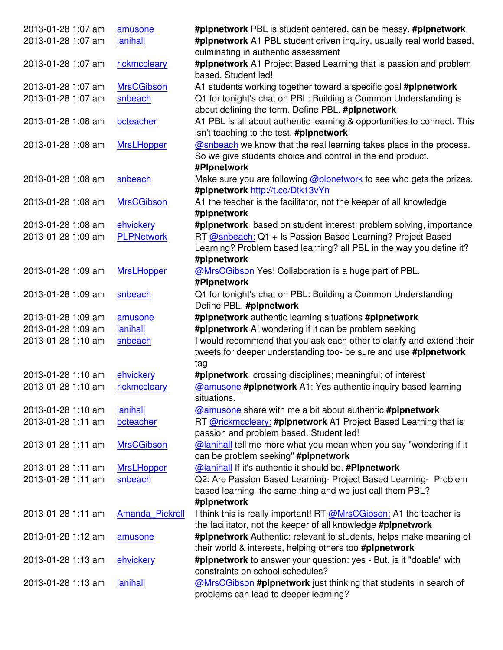| 2013-01-28 1:07 am | amusone           | #plpnetwork PBL is student centered, can be messy. #plpnetwork                                                                                          |
|--------------------|-------------------|---------------------------------------------------------------------------------------------------------------------------------------------------------|
| 2013-01-28 1:07 am | lanihall          | #plpnetwork A1 PBL student driven inquiry, usually real world based,<br>culminating in authentic assessment                                             |
| 2013-01-28 1:07 am | rickmccleary      | #plpnetwork A1 Project Based Learning that is passion and problem<br>based. Student led!                                                                |
| 2013-01-28 1:07 am | <b>MrsCGibson</b> | A1 students working together toward a specific goal #plpnetwork                                                                                         |
| 2013-01-28 1:07 am | snbeach           | Q1 for tonight's chat on PBL: Building a Common Understanding is<br>about defining the term. Define PBL. #plpnetwork                                    |
| 2013-01-28 1:08 am | bcteacher         | A1 PBL is all about authentic learning & opportunities to connect. This<br>isn't teaching to the test. #plpnetwork                                      |
| 2013-01-28 1:08 am | <b>MrsLHopper</b> | <b>@snbeach</b> we know that the real learning takes place in the process.<br>So we give students choice and control in the end product.<br>#Plpnetwork |
| 2013-01-28 1:08 am | snbeach           | Make sure you are following @plpnetwork to see who gets the prizes.<br>#plpnetwork http://t.co/Dtk13vYn                                                 |
| 2013-01-28 1:08 am | <b>MrsCGibson</b> | A1 the teacher is the facilitator, not the keeper of all knowledge<br>#plpnetwork                                                                       |
| 2013-01-28 1:08 am | ehvickery         | #plpnetwork based on student interest; problem solving, importance                                                                                      |
| 2013-01-28 1:09 am | <b>PLPNetwork</b> | RT @snbeach: Q1 + Is Passion Based Learning? Project Based                                                                                              |
|                    |                   | Learning? Problem based learning? all PBL in the way you define it?                                                                                     |
|                    |                   | #plpnetwork                                                                                                                                             |
| 2013-01-28 1:09 am | <b>MrsLHopper</b> | @MrsCGibson Yes! Collaboration is a huge part of PBL.<br>#Plpnetwork                                                                                    |
| 2013-01-28 1:09 am | snbeach           | Q1 for tonight's chat on PBL: Building a Common Understanding<br>Define PBL. #plpnetwork                                                                |
| 2013-01-28 1:09 am | amusone           | #plpnetwork authentic learning situations #plpnetwork                                                                                                   |
| 2013-01-28 1:09 am | lanihall          | #plpnetwork A! wondering if it can be problem seeking                                                                                                   |
| 2013-01-28 1:10 am | snbeach           | I would recommend that you ask each other to clarify and extend their<br>tweets for deeper understanding too- be sure and use #plpnetwork               |
|                    |                   | tag                                                                                                                                                     |
| 2013-01-28 1:10 am | ehvickery         | #plpnetwork crossing disciplines; meaningful; of interest                                                                                               |
| 2013-01-28 1:10 am | rickmccleary      | @amusone #plpnetwork A1: Yes authentic inquiry based learning                                                                                           |
|                    |                   | situations.                                                                                                                                             |
| 2013-01-28 1:10 am | lanihall          | <b>@amusone share with me a bit about authentic #plpnetwork</b>                                                                                         |
| 2013-01-28 1:11 am | bcteacher         | RT @rickmccleary: #plpnetwork A1 Project Based Learning that is<br>passion and problem based. Student led!                                              |
| 2013-01-28 1:11 am | <b>MrsCGibson</b> | @lanihall tell me more what you mean when you say "wondering if it<br>can be problem seeking" #plpnetwork                                               |
| 2013-01-28 1:11 am | <b>MrsLHopper</b> | <b>@lanihall If it's authentic it should be. #Plpnetwork</b>                                                                                            |
| 2013-01-28 1:11 am | snbeach           | Q2: Are Passion Based Learning- Project Based Learning- Problem                                                                                         |
|                    |                   | based learning the same thing and we just call them PBL?                                                                                                |
|                    |                   | #plpnetwork                                                                                                                                             |
| 2013-01-28 1:11 am | Amanda Pickrell   | I think this is really important! RT @MrsCGibson: A1 the teacher is                                                                                     |
|                    |                   | the facilitator, not the keeper of all knowledge #plpnetwork                                                                                            |
| 2013-01-28 1:12 am | amusone           | #plpnetwork Authentic: relevant to students, helps make meaning of                                                                                      |
|                    |                   | their world & interests, helping others too #plpnetwork                                                                                                 |
| 2013-01-28 1:13 am | ehvickery         | #plpnetwork to answer your question: yes - But, is it "doable" with<br>constraints on school schedules?                                                 |
| 2013-01-28 1:13 am | lanihall          | @MrsCGibson #plpnetwork just thinking that students in search of                                                                                        |
|                    |                   | problems can lead to deeper learning?                                                                                                                   |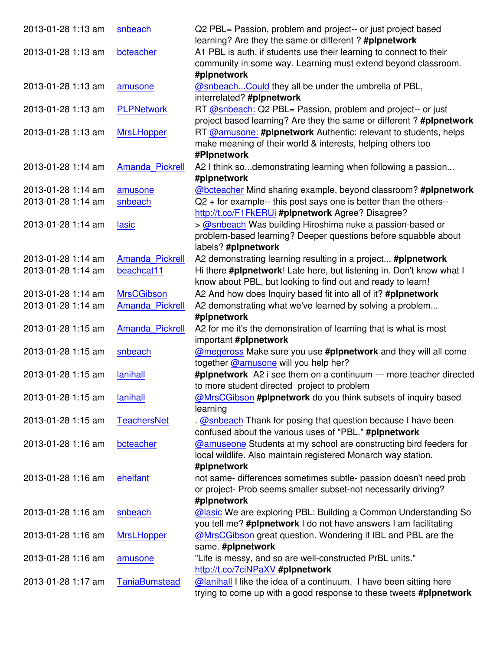| 2013-01-28 1:13 am | snbeach                | Q2 PBL= Passion, problem and project-- or just project based<br>learning? Are they the same or different? #plpnetwork               |
|--------------------|------------------------|-------------------------------------------------------------------------------------------------------------------------------------|
| 2013-01-28 1:13 am | bcteacher              | A1 PBL is auth. if students use their learning to connect to their                                                                  |
|                    |                        | community in some way. Learning must extend beyond classroom.                                                                       |
|                    |                        | #plpnetwork                                                                                                                         |
| 2013-01-28 1:13 am | amusone                | @snbeachCould they all be under the umbrella of PBL,                                                                                |
|                    |                        | interrelated? #plpnetwork                                                                                                           |
| 2013-01-28 1:13 am | <b>PLPNetwork</b>      | RT @snbeach: Q2 PBL= Passion, problem and project-- or just                                                                         |
|                    |                        | project based learning? Are they the same or different ? #plpnetwork                                                                |
| 2013-01-28 1:13 am | <b>MrsLHopper</b>      | RT @amusone: #plpnetwork Authentic: relevant to students, helps                                                                     |
|                    |                        | make meaning of their world & interests, helping others too                                                                         |
|                    |                        | #PIpnetwork                                                                                                                         |
| 2013-01-28 1:14 am | Amanda Pickrell        | A2 I think sodemonstrating learning when following a passion                                                                        |
|                    |                        | #plpnetwork                                                                                                                         |
| 2013-01-28 1:14 am | amusone                | @bcteacher Mind sharing example, beyond classroom? #plpnetwork                                                                      |
| 2013-01-28 1:14 am | snbeach                | Q2 + for example-- this post says one is better than the others--                                                                   |
|                    |                        | http://t.co/F1FkERUi #plpnetwork Agree? Disagree?                                                                                   |
| 2013-01-28 1:14 am | lasic                  | > @snbeach Was building Hiroshima nuke a passion-based or                                                                           |
|                    |                        | problem-based learning? Deeper questions before squabble about                                                                      |
|                    |                        | labels? #plpnetwork                                                                                                                 |
| 2013-01-28 1:14 am | <b>Amanda Pickrell</b> | A2 demonstrating learning resulting in a project <b>#plpnetwork</b>                                                                 |
| 2013-01-28 1:14 am | beachcat11             | Hi there #plpnetwork! Late here, but listening in. Don't know what I                                                                |
|                    |                        | know about PBL, but looking to find out and ready to learn!                                                                         |
| 2013-01-28 1:14 am | <b>MrsCGibson</b>      | A2 And how does Inquiry based fit into all of it? #plpnetwork                                                                       |
| 2013-01-28 1:14 am | <b>Amanda Pickrell</b> | A2 demonstrating what we've learned by solving a problem                                                                            |
|                    |                        | #plpnetwork                                                                                                                         |
| 2013-01-28 1:15 am | <b>Amanda Pickrell</b> | A2 for me it's the demonstration of learning that is what is most                                                                   |
|                    |                        | important #plpnetwork                                                                                                               |
| 2013-01-28 1:15 am | snbeach                | @megeross Make sure you use #plpnetwork and they will all come                                                                      |
|                    |                        | together @amusone will you help her?                                                                                                |
| 2013-01-28 1:15 am | lanihall               | #plpnetwork A2 i see them on a continuum --- more teacher directed                                                                  |
|                    |                        | to more student directed project to problem                                                                                         |
| 2013-01-28 1:15 am | lanihall               | @MrsCGibson #plpnetwork do you think subsets of inquiry based                                                                       |
|                    |                        | learning                                                                                                                            |
| 2013-01-28 1:15 am | <b>TeachersNet</b>     | . @snbeach Thank for posing that question because I have been                                                                       |
|                    |                        | confused about the various uses of "PBL." #plpnetwork                                                                               |
| 2013-01-28 1:16 am | bcteacher              | @amuseone Students at my school are constructing bird feeders for                                                                   |
|                    |                        | local wildlife. Also maintain registered Monarch way station.                                                                       |
|                    |                        | #plpnetwork                                                                                                                         |
| 2013-01-28 1:16 am | ehelfant               | not same-differences sometimes subtle-passion doesn't need prob                                                                     |
|                    |                        | or project- Prob seems smaller subset-not necessarily driving?                                                                      |
|                    |                        | #plpnetwork                                                                                                                         |
| 2013-01-28 1:16 am | snbeach                | @lasic We are exploring PBL: Building a Common Understanding So<br>you tell me? #plpnetwork I do not have answers I am facilitating |
| 2013-01-28 1:16 am | <b>MrsLHopper</b>      | @MrsCGibson great question. Wondering if IBL and PBL are the                                                                        |
|                    |                        | same. #plpnetwork                                                                                                                   |
| 2013-01-28 1:16 am | amusone                | "Life is messy, and so are well-constructed PrBL units."                                                                            |
|                    |                        | http://t.co/7ciNPaXV #plpnetwork                                                                                                    |
| 2013-01-28 1:17 am | <b>TaniaBumstead</b>   | @lanihall I like the idea of a continuum. I have been sitting here                                                                  |
|                    |                        | trying to come up with a good response to these tweets <b>#plpnetwork</b>                                                           |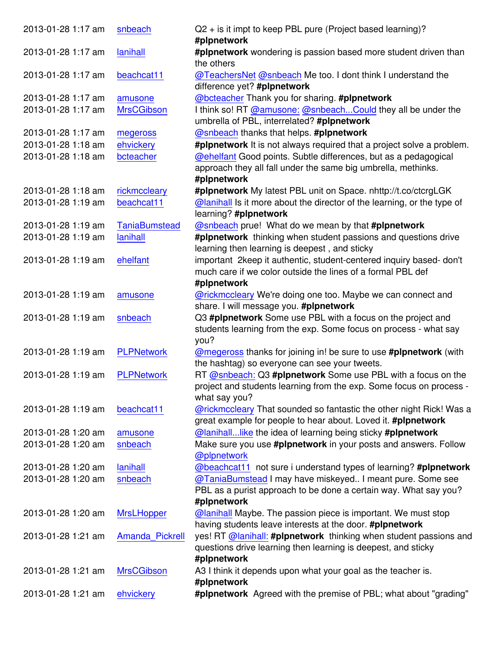| 2013-01-28 1:17 am | snbeach              | $Q2 + i$ is it impt to keep PBL pure (Project based learning)?<br>#plpnetwork               |
|--------------------|----------------------|---------------------------------------------------------------------------------------------|
| 2013-01-28 1:17 am | lanihall             | #plpnetwork wondering is passion based more student driven than                             |
|                    |                      | the others                                                                                  |
| 2013-01-28 1:17 am | beachcat11           | @TeachersNet @snbeach Me too. I dont think I understand the                                 |
|                    |                      | difference yet? #plpnetwork                                                                 |
| 2013-01-28 1:17 am | amusone              | @bcteacher Thank you for sharing. #plpnetwork                                               |
| 2013-01-28 1:17 am | <b>MrsCGibson</b>    | I think so! RT @amusone: @snbeachCould they all be under the                                |
|                    |                      | umbrella of PBL, interrelated? #plpnetwork                                                  |
| 2013-01-28 1:17 am | megeross             | @snbeach thanks that helps. #plpnetwork                                                     |
| 2013-01-28 1:18 am | ehvickery            | #plpnetwork It is not always required that a project solve a problem.                       |
| 2013-01-28 1:18 am | bcteacher            | <b>@ehelfant Good points. Subtle differences, but as a pedagogical</b>                      |
|                    |                      | approach they all fall under the same big umbrella, methinks.                               |
|                    |                      | #plpnetwork                                                                                 |
| 2013-01-28 1:18 am | rickmccleary         | #plpnetwork My latest PBL unit on Space. nhttp://t.co/ctcrgLGK                              |
| 2013-01-28 1:19 am | beachcat11           | @lanihall Is it more about the director of the learning, or the type of                     |
|                    |                      | learning? #plpnetwork                                                                       |
| 2013-01-28 1:19 am | <b>TaniaBumstead</b> | @snbeach prue! What do we mean by that #plpnetwork                                          |
| 2013-01-28 1:19 am | lanihall             | #plpnetwork thinking when student passions and questions drive                              |
|                    |                      | learning then learning is deepest, and sticky                                               |
| 2013-01-28 1:19 am | ehelfant             | important 2keep it authentic, student-centered inquiry based- don't                         |
|                    |                      | much care if we color outside the lines of a formal PBL def                                 |
|                    |                      | #plpnetwork                                                                                 |
| 2013-01-28 1:19 am | amusone              | @rickmccleary We're doing one too. Maybe we can connect and                                 |
|                    |                      | share. I will message you. #plpnetwork                                                      |
| 2013-01-28 1:19 am | snbeach              | Q3 #plpnetwork Some use PBL with a focus on the project and                                 |
|                    |                      | students learning from the exp. Some focus on process - what say                            |
|                    |                      | you?                                                                                        |
| 2013-01-28 1:19 am | <b>PLPNetwork</b>    | @megeross thanks for joining in! be sure to use #plpnetwork (with                           |
|                    |                      | the hashtag) so everyone can see your tweets.                                               |
| 2013-01-28 1:19 am | <b>PLPNetwork</b>    | RT @snbeach: Q3 #plpnetwork Some use PBL with a focus on the                                |
|                    |                      | project and students learning from the exp. Some focus on process -                         |
| 2013-01-28 1:19 am | beachcat11           | what say you?<br><b>@rickmccleary That sounded so fantastic the other night Rick! Was a</b> |
|                    |                      | great example for people to hear about. Loved it. #plpnetwork                               |
| 2013-01-28 1:20 am | amusone              | @lanihalllike the idea of learning being sticky #plpnetwork                                 |
| 2013-01-28 1:20 am | snbeach              | Make sure you use #plpnetwork in your posts and answers. Follow                             |
|                    |                      | @plpnetwork                                                                                 |
| 2013-01-28 1:20 am | lanihall             | @beachcat11 not sure i understand types of learning? #plpnetwork                            |
| 2013-01-28 1:20 am | snbeach              | @TaniaBumstead I may have miskeyed I meant pure. Some see                                   |
|                    |                      | PBL as a purist approach to be done a certain way. What say you?                            |
|                    |                      | #plpnetwork                                                                                 |
| 2013-01-28 1:20 am | <b>MrsLHopper</b>    | <b>@lanihall Maybe.</b> The passion piece is important. We must stop                        |
|                    |                      | having students leave interests at the door. #plpnetwork                                    |
| 2013-01-28 1:21 am | Amanda Pickrell      | yes! RT @lanihall: #plpnetwork thinking when student passions and                           |
|                    |                      | questions drive learning then learning is deepest, and sticky                               |
|                    |                      | #plpnetwork                                                                                 |
| 2013-01-28 1:21 am | <b>MrsCGibson</b>    | A3 I think it depends upon what your goal as the teacher is.                                |
|                    |                      | #plpnetwork                                                                                 |
| 2013-01-28 1:21 am | ehvickery            | <b>#plpnetwork</b> Agreed with the premise of PBL; what about "grading"                     |
|                    |                      |                                                                                             |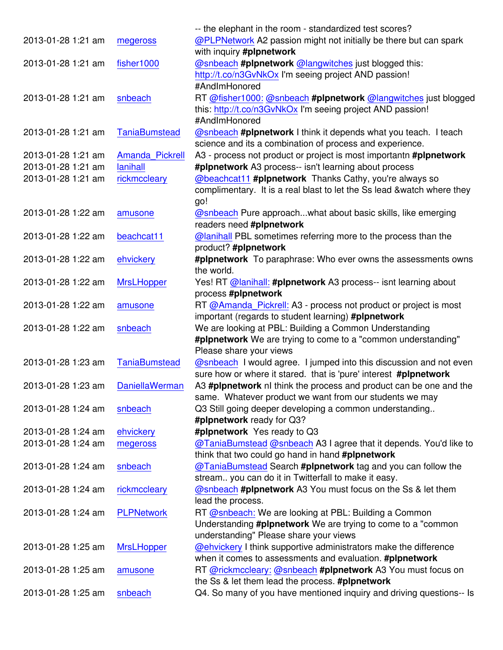|                    |                        | -- the elephant in the room - standardized test scores?                                                        |
|--------------------|------------------------|----------------------------------------------------------------------------------------------------------------|
| 2013-01-28 1:21 am | megeross               | @PLPNetwork A2 passion might not initially be there but can spark                                              |
|                    |                        | with inquiry #plpnetwork                                                                                       |
| 2013-01-28 1:21 am | fisher1000             | @snbeach #plpnetwork @langwitches just blogged this:                                                           |
|                    |                        | http://t.co/n3GvNkOx I'm seeing project AND passion!                                                           |
|                    |                        | #AndImHonored                                                                                                  |
| 2013-01-28 1:21 am | snbeach                | RT @fisher1000: @snbeach #plpnetwork @langwitches just blogged                                                 |
|                    |                        | this: http://t.co/n3GvNkOx I'm seeing project AND passion!                                                     |
|                    |                        | #AndImHonored                                                                                                  |
| 2013-01-28 1:21 am | <b>TaniaBumstead</b>   | @snbeach #plpnetwork I think it depends what you teach. I teach                                                |
|                    |                        | science and its a combination of process and experience.                                                       |
| 2013-01-28 1:21 am | <b>Amanda Pickrell</b> | A3 - process not product or project is most importantn #plpnetwork                                             |
| 2013-01-28 1:21 am | lanihall               | #plpnetwork A3 process-- isn't learning about process                                                          |
| 2013-01-28 1:21 am | rickmccleary           | @beachcat11 #plpnetwork Thanks Cathy, you're always so                                                         |
|                    |                        | complimentary. It is a real blast to let the Ss lead & watch where they                                        |
|                    |                        | go!                                                                                                            |
| 2013-01-28 1:22 am | amusone                | <b>@snbeach</b> Pure approachwhat about basic skills, like emerging                                            |
|                    |                        | readers need #plpnetwork                                                                                       |
| 2013-01-28 1:22 am | beachcat11             | <b>@lanihall PBL</b> sometimes referring more to the process than the                                          |
|                    |                        | product? #plpnetwork                                                                                           |
| 2013-01-28 1:22 am | ehvickery              | #pipnetwork To paraphrase: Who ever owns the assessments owns                                                  |
|                    |                        | the world.                                                                                                     |
| 2013-01-28 1:22 am | <b>MrsLHopper</b>      | Yes! RT @lanihall: #plpnetwork A3 process-- isnt learning about                                                |
|                    |                        | process #plpnetwork                                                                                            |
| 2013-01-28 1:22 am | amusone                | RT @Amanda_Pickrell: A3 - process not product or project is most                                               |
|                    |                        | important (regards to student learning) #plpnetwork                                                            |
| 2013-01-28 1:22 am | snbeach                | We are looking at PBL: Building a Common Understanding                                                         |
|                    |                        | #plpnetwork We are trying to come to a "common understanding"                                                  |
|                    |                        | Please share your views                                                                                        |
| 2013-01-28 1:23 am | <b>TaniaBumstead</b>   | @snbeach I would agree. I jumped into this discussion and not even                                             |
|                    |                        | sure how or where it stared. that is 'pure' interest #plpnetwork                                               |
| 2013-01-28 1:23 am | <b>DaniellaWerman</b>  | A3 #plpnetwork nl think the process and product can be one and the                                             |
|                    |                        | same. Whatever product we want from our students we may                                                        |
| 2013-01-28 1:24 am | snbeach                | Q3 Still going deeper developing a common understanding                                                        |
|                    |                        | #plpnetwork ready for Q3?                                                                                      |
| 2013-01-28 1:24 am | ehvickery              | #plpnetwork Yes ready to Q3                                                                                    |
| 2013-01-28 1:24 am | megeross               | @TaniaBumstead @snbeach A3 I agree that it depends. You'd like to                                              |
|                    |                        | think that two could go hand in hand #plpnetwork                                                               |
| 2013-01-28 1:24 am | snbeach                | @TaniaBumstead Search #plpnetwork tag and you can follow the                                                   |
|                    |                        | stream you can do it in Twitterfall to make it easy.                                                           |
| 2013-01-28 1:24 am | rickmccleary           | @snbeach #plpnetwork A3 You must focus on the Ss & let them                                                    |
|                    |                        | lead the process.                                                                                              |
| 2013-01-28 1:24 am | <b>PLPNetwork</b>      | RT @snbeach: We are looking at PBL: Building a Common                                                          |
|                    |                        | Understanding #plpnetwork We are trying to come to a "common"                                                  |
|                    |                        | understanding" Please share your views                                                                         |
| 2013-01-28 1:25 am | <b>MrsLHopper</b>      | <b>@ehvickery I think supportive administrators make the difference</b>                                        |
| 2013-01-28 1:25 am |                        | when it comes to assessments and evaluation. #plpnetwork                                                       |
|                    | amusone                | RT @rickmccleary: @snbeach #plpnetwork A3 You must focus on<br>the Ss & let them lead the process. #plpnetwork |
| 2013-01-28 1:25 am |                        | Q4. So many of you have mentioned inquiry and driving questions-- Is                                           |
|                    | snbeach                |                                                                                                                |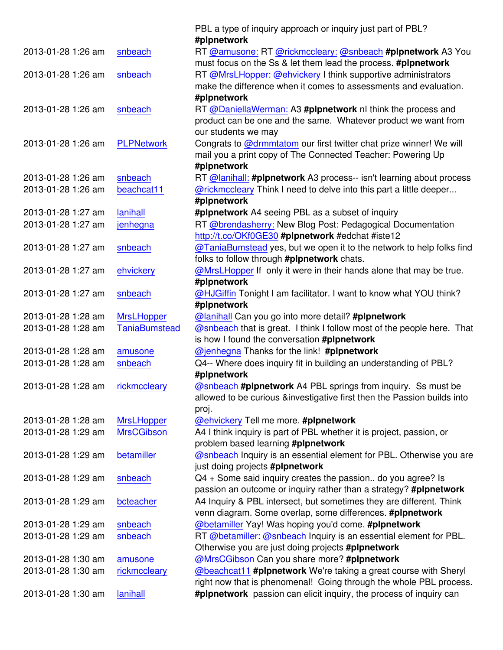|                    |                      | PBL a type of inquiry approach or inquiry just part of PBL?<br>#plpnetwork                                                                               |
|--------------------|----------------------|----------------------------------------------------------------------------------------------------------------------------------------------------------|
| 2013-01-28 1:26 am | snbeach              | RT @amusone: RT @rickmccleary: @snbeach #plpnetwork A3 You<br>must focus on the Ss & let them lead the process. #plpnetwork                              |
| 2013-01-28 1:26 am | snbeach              | RT @MrsLHopper: @ehvickery I think supportive administrators<br>make the difference when it comes to assessments and evaluation.<br>#plpnetwork          |
| 2013-01-28 1:26 am | snbeach              | RT @DaniellaWerman: A3 #plpnetwork nl think the process and<br>product can be one and the same. Whatever product we want from<br>our students we may     |
| 2013-01-28 1:26 am | <b>PLPNetwork</b>    | Congrats to @drmmtatom our first twitter chat prize winner! We will<br>mail you a print copy of The Connected Teacher: Powering Up<br>#plpnetwork        |
| 2013-01-28 1:26 am | snbeach              | RT @lanihall: #plpnetwork A3 process-- isn't learning about process                                                                                      |
| 2013-01-28 1:26 am | beachcat11           | @rickmccleary Think I need to delve into this part a little deeper<br>#plpnetwork                                                                        |
| 2013-01-28 1:27 am | lanihall             | #plpnetwork A4 seeing PBL as a subset of inquiry                                                                                                         |
| 2013-01-28 1:27 am | jenhegna             | RT @brendasherry: New Blog Post: Pedagogical Documentation<br>http://t.co/OKf0GE30 #plpnetwork #edchat #iste12                                           |
| 2013-01-28 1:27 am | snbeach              | @TaniaBumstead yes, but we open it to the network to help folks find<br>folks to follow through #plpnetwork chats.                                       |
| 2013-01-28 1:27 am | ehvickery            | @MrsLHopper If only it were in their hands alone that may be true.<br>#plpnetwork                                                                        |
| 2013-01-28 1:27 am | snbeach              | @HJGiffin Tonight I am facilitator. I want to know what YOU think?<br>#plpnetwork                                                                        |
| 2013-01-28 1:28 am | <b>MrsLHopper</b>    | @lanihall Can you go into more detail? #plpnetwork                                                                                                       |
| 2013-01-28 1:28 am | <b>TaniaBumstead</b> | @snbeach that is great. I think I follow most of the people here. That<br>is how I found the conversation #plpnetwork                                    |
| 2013-01-28 1:28 am | amusone              | <b>@jenhegna Thanks for the link! #plpnetwork</b>                                                                                                        |
| 2013-01-28 1:28 am | snbeach              | Q4-- Where does inquiry fit in building an understanding of PBL?<br>#plpnetwork                                                                          |
| 2013-01-28 1:28 am | rickmccleary         | <b>@snbeach #plpnetwork</b> A4 PBL springs from inquiry. Ss must be<br>allowed to be curious & investigative first then the Passion builds into<br>proj. |
| 2013-01-28 1:28 am | <b>MrsLHopper</b>    | <b>@ehvickery Tell me more. #plpnetwork</b>                                                                                                              |
| 2013-01-28 1:29 am | <b>MrsCGibson</b>    | A4 I think inquiry is part of PBL whether it is project, passion, or<br>problem based learning #plpnetwork                                               |
| 2013-01-28 1:29 am | betamiller           | <b>@snbeach Inquiry is an essential element for PBL. Otherwise you are</b><br>just doing projects #plpnetwork                                            |
| 2013-01-28 1:29 am | snbeach              | Q4 + Some said inquiry creates the passion do you agree? Is<br>passion an outcome or inquiry rather than a strategy? #plpnetwork                         |
| 2013-01-28 1:29 am | bcteacher            | A4 Inquiry & PBL intersect, but sometimes they are different. Think<br>venn diagram. Some overlap, some differences. #plpnetwork                         |
| 2013-01-28 1:29 am | snbeach              | @betamiller Yay! Was hoping you'd come. #plpnetwork                                                                                                      |
| 2013-01-28 1:29 am | snbeach              | RT @betamiller: @snbeach Inquiry is an essential element for PBL.<br>Otherwise you are just doing projects #plpnetwork                                   |
| 2013-01-28 1:30 am | amusone              | @MrsCGibson Can you share more? #plpnetwork                                                                                                              |
| 2013-01-28 1:30 am | rickmccleary         | <b>@beachcat11 #plpnetwork</b> We're taking a great course with Sheryl<br>right now that is phenomenal! Going through the whole PBL process.             |
| 2013-01-28 1:30 am | lanihall             | #plpnetwork passion can elicit inquiry, the process of inquiry can                                                                                       |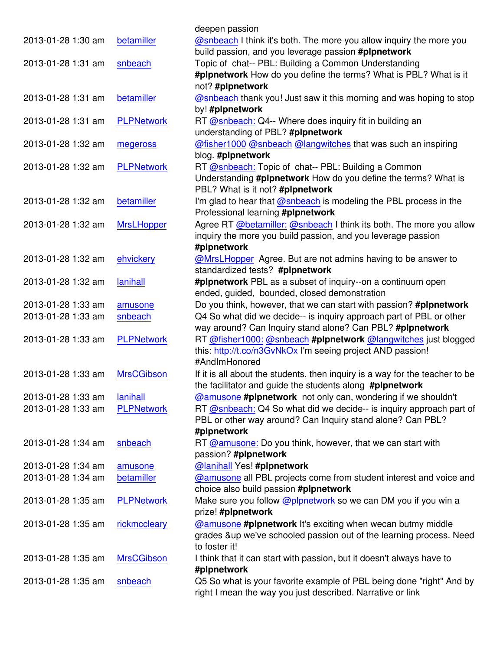|                    |                   | deepen passion                                                                                                                                            |
|--------------------|-------------------|-----------------------------------------------------------------------------------------------------------------------------------------------------------|
| 2013-01-28 1:30 am | betamiller        | <b>@snbeach I think it's both. The more you allow inquiry the more you</b><br>build passion, and you leverage passion #plpnetwork                         |
| 2013-01-28 1:31 am | snbeach           | Topic of chat-- PBL: Building a Common Understanding                                                                                                      |
|                    |                   | #plpnetwork How do you define the terms? What is PBL? What is it                                                                                          |
|                    |                   | not? #plpnetwork                                                                                                                                          |
| 2013-01-28 1:31 am | betamiller        | @snbeach thank you! Just saw it this morning and was hoping to stop<br>by! #plpnetwork                                                                    |
| 2013-01-28 1:31 am | <b>PLPNetwork</b> | RT @snbeach: Q4-- Where does inquiry fit in building an<br>understanding of PBL? #plpnetwork                                                              |
| 2013-01-28 1:32 am | megeross          | @fisher1000 @snbeach @langwitches that was such an inspiring<br>blog. #plpnetwork                                                                         |
| 2013-01-28 1:32 am | <b>PLPNetwork</b> | RT @snbeach: Topic of chat-- PBL: Building a Common<br>Understanding #plpnetwork How do you define the terms? What is<br>PBL? What is it not? #plpnetwork |
| 2013-01-28 1:32 am | betamiller        | I'm glad to hear that $@$ snbeach is modeling the PBL process in the<br>Professional learning #plpnetwork                                                 |
| 2013-01-28 1:32 am | <b>MrsLHopper</b> | Agree RT @betamiller: @snbeach I think its both. The more you allow                                                                                       |
|                    |                   | inquiry the more you build passion, and you leverage passion                                                                                              |
|                    |                   | #plpnetwork                                                                                                                                               |
| 2013-01-28 1:32 am | ehvickery         | @MrsLHopper Agree. But are not admins having to be answer to<br>standardized tests? #plpnetwork                                                           |
| 2013-01-28 1:32 am | lanihall          | #plpnetwork PBL as a subset of inquiry--on a continuum open<br>ended, guided, bounded, closed demonstration                                               |
| 2013-01-28 1:33 am | amusone           | Do you think, however, that we can start with passion? #plpnetwork                                                                                        |
| 2013-01-28 1:33 am | snbeach           | Q4 So what did we decide-- is inquiry approach part of PBL or other<br>way around? Can Inquiry stand alone? Can PBL? #plpnetwork                          |
| 2013-01-28 1:33 am | <b>PLPNetwork</b> | RT @fisher1000: @snbeach #plpnetwork @langwitches just blogged<br>this: http://t.co/n3GvNkOx I'm seeing project AND passion!<br>#AndImHonored             |
| 2013-01-28 1:33 am | <b>MrsCGibson</b> | If it is all about the students, then inquiry is a way for the teacher to be<br>the facilitator and guide the students along #plpnetwork                  |
| 2013-01-28 1:33 am | lanihall          | <b>@amusone #plpnetwork</b> not only can, wondering if we shouldn't                                                                                       |
| 2013-01-28 1:33 am | <b>PLPNetwork</b> | RT @snbeach: Q4 So what did we decide-- is inquiry approach part of                                                                                       |
|                    |                   | PBL or other way around? Can Inquiry stand alone? Can PBL?                                                                                                |
|                    |                   | #plpnetwork                                                                                                                                               |
| 2013-01-28 1:34 am | snbeach           | RT @amusone: Do you think, however, that we can start with<br>passion? #plpnetwork                                                                        |
| 2013-01-28 1:34 am | amusone           | <b>@lanihall Yes! #plpnetwork</b>                                                                                                                         |
| 2013-01-28 1:34 am | betamiller        | @amusone all PBL projects come from student interest and voice and                                                                                        |
|                    |                   | choice also build passion #plpnetwork                                                                                                                     |
| 2013-01-28 1:35 am | <b>PLPNetwork</b> | Make sure you follow @plpnetwork so we can DM you if you win a                                                                                            |
|                    |                   | prize! #plpnetwork                                                                                                                                        |
| 2013-01-28 1:35 am | rickmccleary      | <b>@amusone #plpnetwork</b> It's exciting when wecan butmy middle                                                                                         |
|                    |                   | grades &up we've schooled passion out of the learning process. Need<br>to foster it!                                                                      |
| 2013-01-28 1:35 am | <b>MrsCGibson</b> | I think that it can start with passion, but it doesn't always have to<br>#plpnetwork                                                                      |
| 2013-01-28 1:35 am | snbeach           | Q5 So what is your favorite example of PBL being done "right" And by<br>right I mean the way you just described. Narrative or link                        |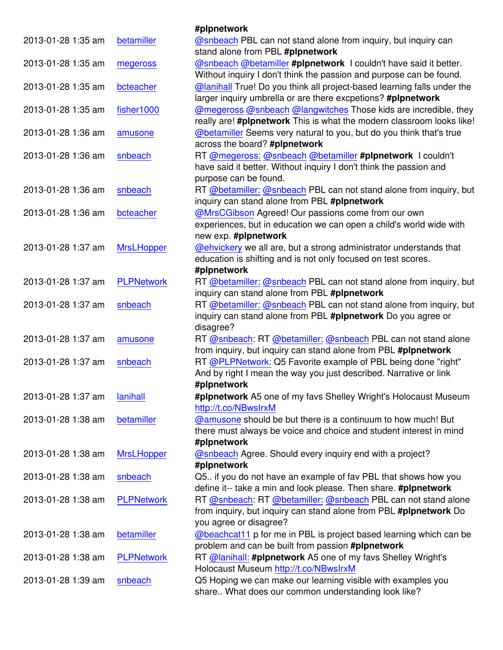|                    |                   | #plpnetwork                                                                                                                                                  |
|--------------------|-------------------|--------------------------------------------------------------------------------------------------------------------------------------------------------------|
| 2013-01-28 1:35 am | betamiller        | @snbeach PBL can not stand alone from inquiry, but inquiry can<br>stand alone from PBL #plpnetwork                                                           |
| 2013-01-28 1:35 am | megeross          | @snbeach @betamiller #plpnetwork I couldn't have said it better.<br>Without inquiry I don't think the passion and purpose can be found.                      |
| 2013-01-28 1:35 am | bcteacher         | @lanihall True! Do you think all project-based learning falls under the<br>larger inquiry umbrella or are there excpetions? #plpnetwork                      |
| 2013-01-28 1:35 am | fisher1000        | @megeross @snbeach @langwitches Those kids are incredible, they<br>really are! #plpnetwork This is what the modern classroom looks like!                     |
| 2013-01-28 1:36 am | amusone           | <b>@betamiller Seems very natural to you, but do you think that's true</b><br>across the board? #plpnetwork                                                  |
| 2013-01-28 1:36 am | snbeach           | RT @megeross: @snbeach @betamiller #plpnetwork I couldn't<br>have said it better. Without inquiry I don't think the passion and<br>purpose can be found.     |
| 2013-01-28 1:36 am | snbeach           | RT @betamiller: @snbeach PBL can not stand alone from inquiry, but<br>inquiry can stand alone from PBL #plpnetwork                                           |
| 2013-01-28 1:36 am | bcteacher         | @MrsCGibson Agreed! Our passions come from our own<br>experiences, but in education we can open a child's world wide with<br>new exp. #plpnetwork            |
| 2013-01-28 1:37 am | <b>MrsLHopper</b> | <b>@ehvickery</b> we all are, but a strong administrator understands that<br>education is shifting and is not only focused on test scores.<br>#plpnetwork    |
| 2013-01-28 1:37 am | <b>PLPNetwork</b> | RT @betamiller: @snbeach PBL can not stand alone from inquiry, but<br>inquiry can stand alone from PBL #plpnetwork                                           |
| 2013-01-28 1:37 am | snbeach           | RT @betamiller: @snbeach PBL can not stand alone from inquiry, but<br>inquiry can stand alone from PBL #plpnetwork Do you agree or<br>disagree?              |
| 2013-01-28 1:37 am | amusone           | RT @snbeach: RT @betamiller: @snbeach PBL can not stand alone<br>from inquiry, but inquiry can stand alone from PBL #plpnetwork                              |
| 2013-01-28 1:37 am | snbeach           | RT @PLPNetwork: Q5 Favorite example of PBL being done "right"<br>And by right I mean the way you just described. Narrative or link<br>#plpnetwork            |
| 2013-01-28 1:37 am | lanihall          | #plpnetwork A5 one of my favs Shelley Wright's Holocaust Museum<br>http://t.co/NBwslrxM                                                                      |
| 2013-01-28 1:38 am | betamiller        | @amusone should be but there is a continuum to how much! But<br>there must always be voice and choice and student interest in mind<br>#plpnetwork            |
| 2013-01-28 1:38 am | <b>MrsLHopper</b> | @snbeach Agree. Should every inquiry end with a project?<br>#plpnetwork                                                                                      |
| 2013-01-28 1:38 am | snbeach           | Q5 if you do not have an example of fav PBL that shows how you<br>define it-- take a min and look please. Then share. #plpnetwork                            |
| 2013-01-28 1:38 am | <b>PLPNetwork</b> | RT @snbeach: RT @betamiller: @snbeach PBL can not stand alone<br>from inquiry, but inquiry can stand alone from PBL #plpnetwork Do<br>you agree or disagree? |
| 2013-01-28 1:38 am | betamiller        | @beachcat11 p for me in PBL is project based learning which can be<br>problem and can be built from passion #plpnetwork                                      |
| 2013-01-28 1:38 am | <b>PLPNetwork</b> | RT @lanihall: #plpnetwork A5 one of my favs Shelley Wright's<br>Holocaust Museum http://t.co/NBwslrxM                                                        |
| 2013-01-28 1:39 am | snbeach           | Q5 Hoping we can make our learning visible with examples you<br>share What does our common understanding look like?                                          |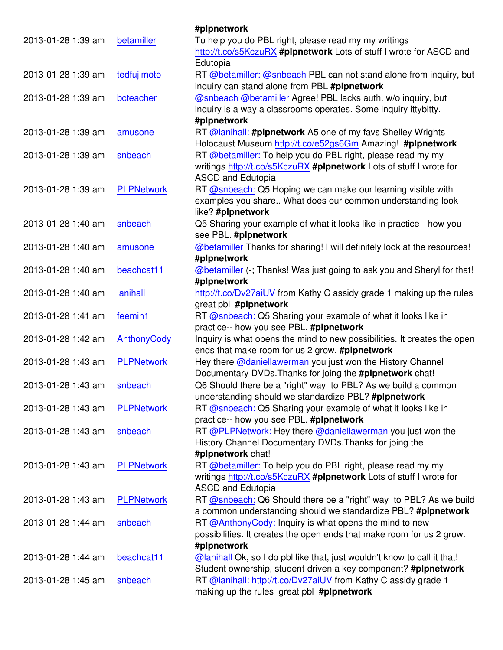|                    |                    | #plpnetwork                                                                     |
|--------------------|--------------------|---------------------------------------------------------------------------------|
| 2013-01-28 1:39 am | betamiller         | To help you do PBL right, please read my my writings                            |
|                    |                    | http://t.co/s5KczuRX #plpnetwork Lots of stuff I wrote for ASCD and             |
|                    |                    | Edutopia                                                                        |
| 2013-01-28 1:39 am | tedfujimoto        | RT @betamiller: @snbeach PBL can not stand alone from inquiry, but              |
|                    |                    | inquiry can stand alone from PBL #plpnetwork                                    |
| 2013-01-28 1:39 am | bcteacher          | @snbeach @betamiller Agree! PBL lacks auth. w/o inquiry, but                    |
|                    |                    | inquiry is a way a classrooms operates. Some inquiry ittybitty.                 |
|                    |                    | #plpnetwork                                                                     |
| 2013-01-28 1:39 am | amusone            | RT @lanihall: #plpnetwork A5 one of my favs Shelley Wrights                     |
|                    |                    | Holocaust Museum http://t.co/e52gs6Gm Amazing! #plpnetwork                      |
| 2013-01-28 1:39 am | snbeach            | RT @betamiller: To help you do PBL right, please read my my                     |
|                    |                    | writings http://t.co/s5KczuRX #plpnetwork Lots of stuff I wrote for             |
|                    |                    | <b>ASCD and Edutopia</b>                                                        |
| 2013-01-28 1:39 am | <b>PLPNetwork</b>  | RT @snbeach: Q5 Hoping we can make our learning visible with                    |
|                    |                    | examples you share What does our common understanding look                      |
|                    |                    | like? #plpnetwork                                                               |
| 2013-01-28 1:40 am | snbeach            | Q5 Sharing your example of what it looks like in practice-- how you             |
|                    |                    | see PBL. #plpnetwork                                                            |
| 2013-01-28 1:40 am | amusone            | <b>@betamiller Thanks for sharing! I will definitely look at the resources!</b> |
|                    |                    | #plpnetwork                                                                     |
| 2013-01-28 1:40 am | beachcat11         | @betamiller (; Thanks! Was just going to ask you and Sheryl for that!           |
|                    |                    | #plpnetwork                                                                     |
| 2013-01-28 1:40 am | lanihall           | http://t.co/Dv27aiUV from Kathy C assidy grade 1 making up the rules            |
|                    |                    | great pbl #plpnetwork                                                           |
| 2013-01-28 1:41 am | feemin1            | RT @snbeach: Q5 Sharing your example of what it looks like in                   |
|                    |                    | practice-- how you see PBL. #plpnetwork                                         |
| 2013-01-28 1:42 am | <b>AnthonyCody</b> | Inquiry is what opens the mind to new possibilities. It creates the open        |
|                    |                    | ends that make room for us 2 grow. #plpnetwork                                  |
| 2013-01-28 1:43 am | <b>PLPNetwork</b>  | Hey there @daniellawerman you just won the History Channel                      |
|                    |                    | Documentary DVDs. Thanks for joing the #plpnetwork chat!                        |
| 2013-01-28 1:43 am | snbeach            | Q6 Should there be a "right" way to PBL? As we build a common                   |
|                    |                    | understanding should we standardize PBL? #plpnetwork                            |
| 2013-01-28 1:43 am | <b>PLPNetwork</b>  | RT @snbeach: Q5 Sharing your example of what it looks like in                   |
|                    |                    | practice-- how you see PBL. #plpnetwork                                         |
| 2013-01-28 1:43 am | snbeach            | RT @PLPNetwork: Hey there @daniellawerman you just won the                      |
|                    |                    | History Channel Documentary DVDs. Thanks for joing the                          |
|                    |                    | #plpnetwork chat!                                                               |
| 2013-01-28 1:43 am | <b>PLPNetwork</b>  | RT @betamiller: To help you do PBL right, please read my my                     |
|                    |                    | writings http://t.co/s5KczuRX #plpnetwork Lots of stuff I wrote for             |
|                    |                    | <b>ASCD and Edutopia</b>                                                        |
| 2013-01-28 1:43 am | <b>PLPNetwork</b>  | RT @snbeach: Q6 Should there be a "right" way to PBL? As we build               |
|                    |                    | a common understanding should we standardize PBL? #plpnetwork                   |
| 2013-01-28 1:44 am |                    | RT @AnthonyCody: Inquiry is what opens the mind to new                          |
|                    | snbeach            |                                                                                 |
|                    |                    | possibilities. It creates the open ends that make room for us 2 grow.           |
|                    |                    | #plpnetwork                                                                     |
| 2013-01-28 1:44 am | beachcat11         | @lanihall Ok, so I do pbl like that, just wouldn't know to call it that!        |
|                    |                    | Student ownership, student-driven a key component? #plpnetwork                  |
| 2013-01-28 1:45 am | snbeach            | RT @lanihall: http://t.co/Dv27aiUV from Kathy C assidy grade 1                  |
|                    |                    | making up the rules great pbl #plpnetwork                                       |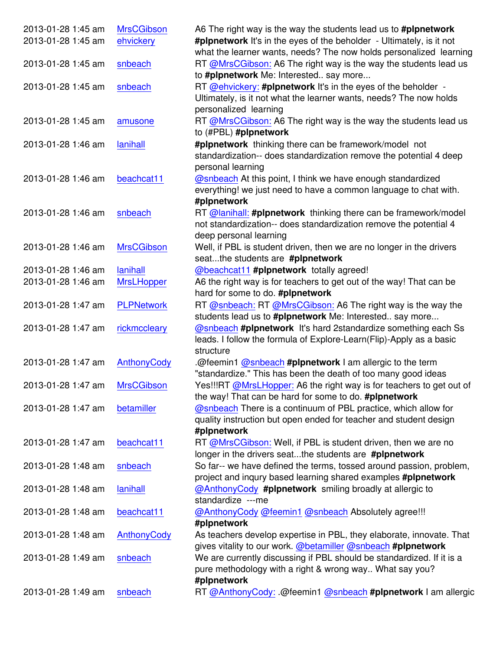| 2013-01-28 1:45 am | <b>MrsCGibson</b>  | A6 The right way is the way the students lead us to <b>#pipnetwork</b>                                                                            |
|--------------------|--------------------|---------------------------------------------------------------------------------------------------------------------------------------------------|
| 2013-01-28 1:45 am | ehvickery          | <b>#plpnetwork</b> It's in the eyes of the beholder - Ultimately, is it not<br>what the learner wants, needs? The now holds personalized learning |
| 2013-01-28 1:45 am | snbeach            | RT @MrsCGibson: A6 The right way is the way the students lead us<br>to #plpnetwork Me: Interested say more                                        |
| 2013-01-28 1:45 am | snbeach            | RT @ehvickery: #plpnetwork It's in the eyes of the beholder -                                                                                     |
|                    |                    | Ultimately, is it not what the learner wants, needs? The now holds                                                                                |
|                    |                    | personalized learning                                                                                                                             |
| 2013-01-28 1:45 am | amusone            | RT @MrsCGibson: A6 The right way is the way the students lead us<br>to (#PBL) #plpnetwork                                                         |
| 2013-01-28 1:46 am | lanihall           | #plpnetwork thinking there can be framework/model not                                                                                             |
|                    |                    | standardization-- does standardization remove the potential 4 deep<br>personal learning                                                           |
| 2013-01-28 1:46 am | beachcat11         | @snbeach At this point, I think we have enough standardized                                                                                       |
|                    |                    | everything! we just need to have a common language to chat with.                                                                                  |
|                    |                    | #plpnetwork                                                                                                                                       |
| 2013-01-28 1:46 am | snbeach            | RT @lanihall: #plpnetwork thinking there can be framework/model                                                                                   |
|                    |                    | not standardization-- does standardization remove the potential 4                                                                                 |
|                    |                    | deep personal learning                                                                                                                            |
| 2013-01-28 1:46 am | <b>MrsCGibson</b>  | Well, if PBL is student driven, then we are no longer in the drivers                                                                              |
|                    |                    | seatthe students are #plpnetwork                                                                                                                  |
| 2013-01-28 1:46 am | lanihall           | @beachcat11 #plpnetwork totally agreed!                                                                                                           |
| 2013-01-28 1:46 am | <b>MrsLHopper</b>  | A6 the right way is for teachers to get out of the way! That can be                                                                               |
|                    |                    | hard for some to do. #plpnetwork                                                                                                                  |
| 2013-01-28 1:47 am | <b>PLPNetwork</b>  | RT @snbeach: RT @MrsCGibson: A6 The right way is the way the                                                                                      |
|                    |                    | students lead us to #plpnetwork Me: Interested say more                                                                                           |
| 2013-01-28 1:47 am | rickmccleary       | @snbeach #plpnetwork It's hard 2standardize something each Ss                                                                                     |
|                    |                    | leads. I follow the formula of Explore-Learn (Flip)-Apply as a basic<br>structure                                                                 |
| 2013-01-28 1:47 am | <b>AnthonyCody</b> | .@feemin1 @snbeach #plpnetwork I am allergic to the term                                                                                          |
|                    |                    | "standardize." This has been the death of too many good ideas                                                                                     |
| 2013-01-28 1:47 am | <b>MrsCGibson</b>  | Yes!!!RT @MrsLHopper: A6 the right way is for teachers to get out of                                                                              |
|                    |                    | the way! That can be hard for some to do. #plpnetwork                                                                                             |
| 2013-01-28 1:47 am | betamiller         | @snbeach There is a continuum of PBL practice, which allow for                                                                                    |
|                    |                    | quality instruction but open ended for teacher and student design                                                                                 |
|                    |                    | #plpnetwork                                                                                                                                       |
| 2013-01-28 1:47 am | beachcat11         | RT @MrsCGibson: Well, if PBL is student driven, then we are no                                                                                    |
|                    |                    | longer in the drivers seatthe students are #plpnetwork                                                                                            |
| 2013-01-28 1:48 am | snbeach            | So far-- we have defined the terms, tossed around passion, problem,                                                                               |
|                    |                    | project and inqury based learning shared examples #plpnetwork                                                                                     |
| 2013-01-28 1:48 am | lanihall           | @AnthonyCody #plpnetwork smiling broadly at allergic to                                                                                           |
|                    |                    | standardize ---me                                                                                                                                 |
| 2013-01-28 1:48 am | beachcat11         | @AnthonyCody @feemin1 @snbeach Absolutely agree!!!                                                                                                |
|                    |                    | #plpnetwork                                                                                                                                       |
| 2013-01-28 1:48 am | <b>AnthonyCody</b> | As teachers develop expertise in PBL, they elaborate, innovate. That                                                                              |
|                    |                    | gives vitality to our work. @betamiller @snbeach #plpnetwork                                                                                      |
| 2013-01-28 1:49 am | snbeach            | We are currently discussing if PBL should be standardized. If it is a                                                                             |
|                    |                    | pure methodology with a right & wrong way What say you?                                                                                           |
|                    |                    | #plpnetwork                                                                                                                                       |
| 2013-01-28 1:49 am | snbeach            | RT @AnthonyCody: @feemin1 @snbeach #plpnetwork I am allergic                                                                                      |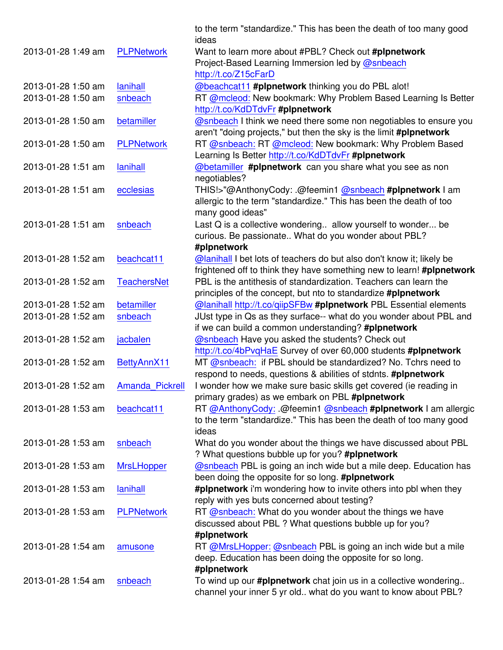|                    |                    | to the term "standardize." This has been the death of too many good<br>ideas                                                                      |
|--------------------|--------------------|---------------------------------------------------------------------------------------------------------------------------------------------------|
| 2013-01-28 1:49 am | <b>PLPNetwork</b>  | Want to learn more about #PBL? Check out #plpnetwork<br>Project-Based Learning Immersion led by @snbeach<br>http://t.co/Z15cFarD                  |
| 2013-01-28 1:50 am | lanihall           | @beachcat11 #plpnetwork thinking you do PBL alot!                                                                                                 |
| 2013-01-28 1:50 am | snbeach            | RT @mcleod: New bookmark: Why Problem Based Learning Is Better<br>http://t.co/KdDTdvFr #plpnetwork                                                |
| 2013-01-28 1:50 am | betamiller         | @snbeach I think we need there some non negotiables to ensure you<br>aren't "doing projects," but then the sky is the limit #plpnetwork           |
| 2013-01-28 1:50 am | <b>PLPNetwork</b>  | RT @snbeach: RT @mcleod: New bookmark: Why Problem Based<br>Learning Is Better http://t.co/KdDTdvFr #plpnetwork                                   |
| 2013-01-28 1:51 am | lanihall           | @betamiller #plpnetwork can you share what you see as non<br>negotiables?                                                                         |
| 2013-01-28 1:51 am | ecclesias          | THIS!>"@AnthonyCody: @feemin1 @snbeach #plpnetwork I am<br>allergic to the term "standardize." This has been the death of too<br>many good ideas" |
| 2013-01-28 1:51 am | snbeach            | Last Q is a collective wondering allow yourself to wonder be<br>curious. Be passionate What do you wonder about PBL?<br>#plpnetwork               |
| 2013-01-28 1:52 am | beachcat11         | @lanihall I bet lots of teachers do but also don't know it; likely be                                                                             |
|                    |                    | frightened off to think they have something new to learn! #plpnetwork                                                                             |
| 2013-01-28 1:52 am | <b>TeachersNet</b> | PBL is the antithesis of standardization. Teachers can learn the<br>principles of the concept, but nto to standardize #plpnetwork                 |
| 2013-01-28 1:52 am | betamiller         | @lanihall http://t.co/qiipSFBw #plpnetwork PBL Essential elements                                                                                 |
| 2013-01-28 1:52 am | snbeach            | JUst type in Qs as they surface-- what do you wonder about PBL and<br>if we can build a common understanding? #plpnetwork                         |
| 2013-01-28 1:52 am | jacbalen           | <b>@snbeach Have you asked the students? Check out</b><br>http://t.co/4bPvqHaE Survey of over 60,000 students #plpnetwork                         |
| 2013-01-28 1:52 am | BettyAnnX11        | MT @snbeach: if PBL should be standardized? No. Tchrs need to<br>respond to needs, questions & abilities of stdnts. #plpnetwork                   |
| 2013-01-28 1:52 am | Amanda_Pickrell    | I wonder how we make sure basic skills get covered (ie reading in<br>primary grades) as we embark on PBL #plpnetwork                              |
| 2013-01-28 1:53 am | beachcat11         | RT @AnthonyCody: @feemin1 @snbeach #plpnetwork I am allergic<br>to the term "standardize." This has been the death of too many good<br>ideas      |
| 2013-01-28 1:53 am | snbeach            | What do you wonder about the things we have discussed about PBL<br>? What questions bubble up for you? #plpnetwork                                |
| 2013-01-28 1:53 am | <b>MrsLHopper</b>  | @snbeach PBL is going an inch wide but a mile deep. Education has<br>been doing the opposite for so long. #plpnetwork                             |
| 2013-01-28 1:53 am | lanihall           | #plpnetwork i'm wondering how to invite others into pbl when they<br>reply with yes buts concerned about testing?                                 |
| 2013-01-28 1:53 am | <b>PLPNetwork</b>  | RT @snbeach: What do you wonder about the things we have<br>discussed about PBL ? What questions bubble up for you?<br>#plpnetwork                |
| 2013-01-28 1:54 am | amusone            | RT @MrsLHopper: @snbeach PBL is going an inch wide but a mile<br>deep. Education has been doing the opposite for so long.<br>#plpnetwork          |
| 2013-01-28 1:54 am | snbeach            | To wind up our <b>#plpnetwork</b> chat join us in a collective wondering<br>channel your inner 5 yr old what do you want to know about PBL?       |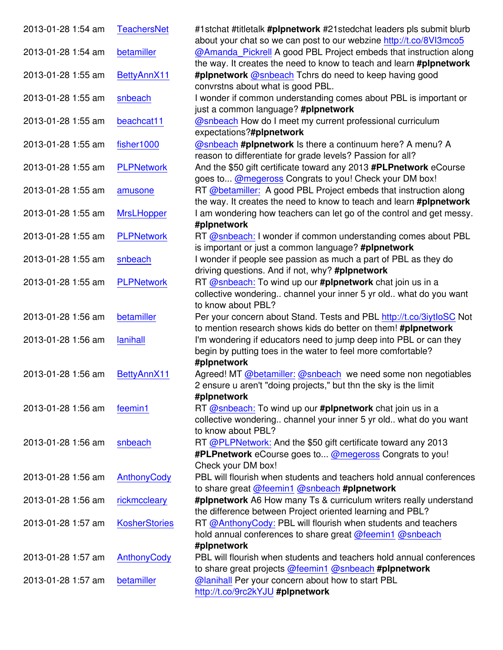| 2013-01-28 1:54 am | <b>TeachersNet</b>   | #1stchat #titletalk #plpnetwork #21stedchat leaders pls submit blurb |
|--------------------|----------------------|----------------------------------------------------------------------|
|                    |                      | about your chat so we can post to our webzine http://t.co/8VI3mco5   |
| 2013-01-28 1:54 am | betamiller           | @Amanda_Pickrell A good PBL Project embeds that instruction along    |
|                    |                      | the way. It creates the need to know to teach and learn #plpnetwork  |
| 2013-01-28 1:55 am | BettyAnnX11          | #plpnetwork @snbeach Tchrs do need to keep having good               |
|                    |                      | convrstns about what is good PBL.                                    |
| 2013-01-28 1:55 am | snbeach              | I wonder if common understanding comes about PBL is important or     |
|                    |                      | just a common language? #plpnetwork                                  |
| 2013-01-28 1:55 am | beachcat11           | @snbeach How do I meet my current professional curriculum            |
|                    |                      | expectations?#plpnetwork                                             |
| 2013-01-28 1:55 am | fisher1000           | @snbeach #plpnetwork Is there a continuum here? A menu? A            |
|                    |                      | reason to differentiate for grade levels? Passion for all?           |
| 2013-01-28 1:55 am | <b>PLPNetwork</b>    | And the \$50 gift certificate toward any 2013 #PLPnetwork eCourse    |
|                    |                      | goes to @megeross Congrats to you! Check your DM box!                |
| 2013-01-28 1:55 am | amusone              | RT @betamiller: A good PBL Project embeds that instruction along     |
|                    |                      | the way. It creates the need to know to teach and learn #plpnetwork  |
| 2013-01-28 1:55 am | <b>MrsLHopper</b>    | I am wondering how teachers can let go of the control and get messy. |
|                    |                      | #plpnetwork                                                          |
| 2013-01-28 1:55 am | <b>PLPNetwork</b>    | RT @snbeach: I wonder if common understanding comes about PBL        |
|                    |                      | is important or just a common language? #plpnetwork                  |
| 2013-01-28 1:55 am | snbeach              | I wonder if people see passion as much a part of PBL as they do      |
|                    |                      | driving questions. And if not, why? #plpnetwork                      |
| 2013-01-28 1:55 am | <b>PLPNetwork</b>    | RT @snbeach: To wind up our #plpnetwork chat join us in a            |
|                    |                      | collective wondering channel your inner 5 yr old what do you want    |
|                    |                      | to know about PBL?                                                   |
| 2013-01-28 1:56 am | betamiller           | Per your concern about Stand. Tests and PBL http://t.co/3iytloSC Not |
|                    |                      | to mention research shows kids do better on them! #plpnetwork        |
| 2013-01-28 1:56 am | lanihall             | I'm wondering if educators need to jump deep into PBL or can they    |
|                    |                      | begin by putting toes in the water to feel more comfortable?         |
|                    |                      | #plpnetwork                                                          |
| 2013-01-28 1:56 am | BettyAnnX11          | Agreed! MT @betamiller: @snbeach we need some non negotiables        |
|                    |                      | 2 ensure u aren't "doing projects," but thn the sky is the limit     |
|                    |                      | #plpnetwork                                                          |
| 2013-01-28 1:56 am | feemin1              | RT @snbeach: To wind up our #plpnetwork chat join us in a            |
|                    |                      | collective wondering channel your inner 5 yr old what do you want    |
|                    |                      | to know about PBL?                                                   |
| 2013-01-28 1:56 am | snbeach              | RT @PLPNetwork: And the \$50 gift certificate toward any 2013        |
|                    |                      | #PLPnetwork eCourse goes to @megeross Congrats to you!               |
|                    |                      | Check your DM box!                                                   |
| 2013-01-28 1:56 am | AnthonyCody          | PBL will flourish when students and teachers hold annual conferences |
|                    |                      | to share great @feemin1 @snbeach #plpnetwork                         |
| 2013-01-28 1:56 am | rickmccleary         | #plpnetwork A6 How many Ts & curriculum writers really understand    |
|                    |                      | the difference between Project oriented learning and PBL?            |
| 2013-01-28 1:57 am | <b>KosherStories</b> | RT @AnthonyCody: PBL will flourish when students and teachers        |
|                    |                      | hold annual conferences to share great @feemin1 @snbeach             |
|                    |                      | #plpnetwork                                                          |
| 2013-01-28 1:57 am | AnthonyCody          | PBL will flourish when students and teachers hold annual conferences |
|                    |                      | to share great projects @feemin1 @snbeach #plpnetwork                |
| 2013-01-28 1:57 am | betamiller           | <b>@lanihall Per your concern about how to start PBL</b>             |
|                    |                      | http://t.co/9rc2kYJU #plpnetwork                                     |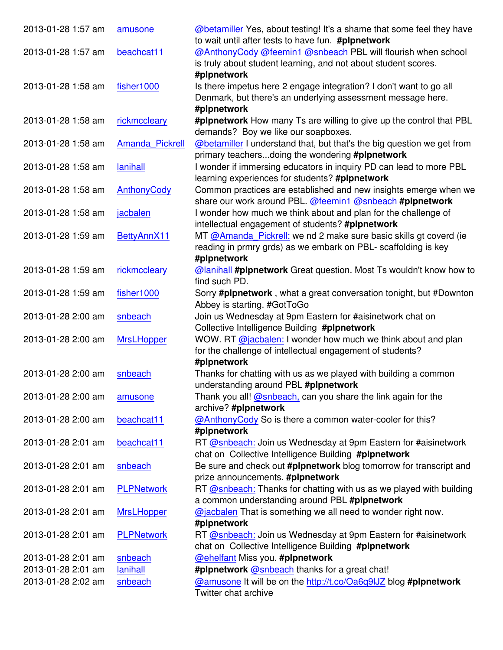| 2013-01-28 1:57 am | amusone           | <b>@betamiller Yes, about testing! It's a shame that some feel they have</b> |
|--------------------|-------------------|------------------------------------------------------------------------------|
|                    |                   | to wait until after tests to have fun. #plpnetwork                           |
| 2013-01-28 1:57 am | beachcat11        | @AnthonyCody @feemin1 @snbeach PBL will flourish when school                 |
|                    |                   | is truly about student learning, and not about student scores.               |
|                    |                   | #plpnetwork                                                                  |
| 2013-01-28 1:58 am | fisher1000        | Is there impetus here 2 engage integration? I don't want to go all           |
|                    |                   | Denmark, but there's an underlying assessment message here.                  |
|                    |                   | #plpnetwork                                                                  |
| 2013-01-28 1:58 am | rickmccleary      | #plpnetwork How many Ts are willing to give up the control that PBL          |
|                    |                   | demands? Boy we like our soapboxes.                                          |
| 2013-01-28 1:58 am | Amanda Pickrell   | @betamiller I understand that, but that's the big question we get from       |
|                    |                   | primary teachersdoing the wondering #plpnetwork                              |
| 2013-01-28 1:58 am | lanihall          | I wonder if immersing educators in inquiry PD can lead to more PBL           |
|                    |                   | learning experiences for students? #plpnetwork                               |
| 2013-01-28 1:58 am | AnthonyCody       | Common practices are established and new insights emerge when we             |
|                    |                   | share our work around PBL. @feemin1 @snbeach #plpnetwork                     |
| 2013-01-28 1:58 am | jacbalen          | I wonder how much we think about and plan for the challenge of               |
|                    |                   |                                                                              |
|                    |                   | intellectual engagement of students? #plpnetwork                             |
| 2013-01-28 1:59 am | BettyAnnX11       | MT @Amanda Pickrell: we nd 2 make sure basic skills gt coverd (ie            |
|                    |                   | reading in prmry grds) as we embark on PBL- scaffolding is key               |
|                    |                   | #plpnetwork                                                                  |
| 2013-01-28 1:59 am | rickmccleary      | <b>@lanihall #plpnetwork</b> Great question. Most Ts wouldn't know how to    |
|                    |                   | find such PD.                                                                |
| 2013-01-28 1:59 am | fisher1000        | Sorry #plpnetwork, what a great conversation tonight, but #Downton           |
|                    |                   | Abbey is starting. #GotToGo                                                  |
| 2013-01-28 2:00 am | snbeach           | Join us Wednesday at 9pm Eastern for #aisinetwork chat on                    |
|                    |                   | Collective Intelligence Building #plpnetwork                                 |
| 2013-01-28 2:00 am | <b>MrsLHopper</b> | WOW. RT @jacbalen: I wonder how much we think about and plan                 |
|                    |                   | for the challenge of intellectual engagement of students?                    |
|                    |                   | #plpnetwork                                                                  |
| 2013-01-28 2:00 am | snbeach           | Thanks for chatting with us as we played with building a common              |
|                    |                   | understanding around PBL #plpnetwork                                         |
| 2013-01-28 2:00 am | amusone           | Thank you all! @snbeach, can you share the link again for the                |
|                    |                   | archive? #plpnetwork                                                         |
| 2013-01-28 2:00 am | beachcat11        | @AnthonyCody So is there a common water-cooler for this?                     |
|                    |                   | #plpnetwork                                                                  |
|                    |                   |                                                                              |
| 2013-01-28 2:01 am | beachcat11        | RT @snbeach: Join us Wednesday at 9pm Eastern for #aisinetwork               |
|                    |                   | chat on Collective Intelligence Building #plpnetwork                         |
| 2013-01-28 2:01 am | snbeach           | Be sure and check out <b>#plpnetwork</b> blog tomorrow for transcript and    |
|                    |                   | prize announcements. #plpnetwork                                             |
| 2013-01-28 2:01 am | <b>PLPNetwork</b> | RT @snbeach: Thanks for chatting with us as we played with building          |
|                    |                   | a common understanding around PBL #plpnetwork                                |
| 2013-01-28 2:01 am | <b>MrsLHopper</b> | @jacbalen That is something we all need to wonder right now.                 |
|                    |                   | #plpnetwork                                                                  |
| 2013-01-28 2:01 am | <b>PLPNetwork</b> | RT @snbeach: Join us Wednesday at 9pm Eastern for #aisinetwork               |
|                    |                   | chat on Collective Intelligence Building #plpnetwork                         |
| 2013-01-28 2:01 am | snbeach           | <b>@ehelfant Miss you. #plpnetwork</b>                                       |
| 2013-01-28 2:01 am | lanihall          | #plpnetwork @snbeach thanks for a great chat!                                |
| 2013-01-28 2:02 am | snbeach           | @amusone It will be on the http://t.co/Oa6q9IJZ blog #plpnetwork             |
|                    |                   | Twitter chat archive                                                         |
|                    |                   |                                                                              |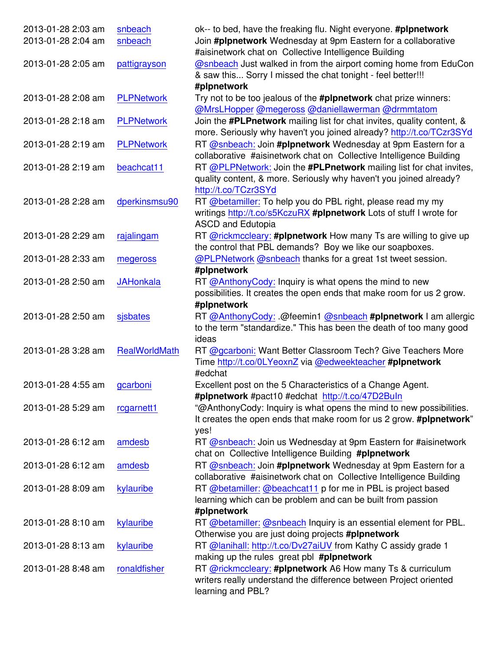| 2013-01-28 2:03 am | snbeach              | ok-- to bed, have the freaking flu. Night everyone. #plpnetwork                                                                                                   |
|--------------------|----------------------|-------------------------------------------------------------------------------------------------------------------------------------------------------------------|
| 2013-01-28 2:04 am | snbeach              | Join #plpnetwork Wednesday at 9pm Eastern for a collaborative<br>#aisinetwork chat on Collective Intelligence Building                                            |
| 2013-01-28 2:05 am | pattigrayson         | <b>@snbeach Just walked in from the airport coming home from EduCon</b><br>& saw this Sorry I missed the chat tonight - feel better!!!<br>#plpnetwork             |
| 2013-01-28 2:08 am | <b>PLPNetwork</b>    | Try not to be too jealous of the #plpnetwork chat prize winners:<br>@MrsLHopper @megeross @daniellawerman @drmmtatom                                              |
| 2013-01-28 2:18 am | <b>PLPNetwork</b>    | Join the <b>#PLPnetwork</b> mailing list for chat invites, quality content, &<br>more. Seriously why haven't you joined already? http://t.co/TCzr3SYd             |
| 2013-01-28 2:19 am | <b>PLPNetwork</b>    | RT @snbeach: Join #plpnetwork Wednesday at 9pm Eastern for a<br>collaborative #aisinetwork chat on Collective Intelligence Building                               |
| 2013-01-28 2:19 am | beachcat11           | RT @PLPNetwork: Join the #PLPnetwork mailing list for chat invites,<br>quality content, & more. Seriously why haven't you joined already?<br>http://t.co/TCzr3SYd |
| 2013-01-28 2:28 am | dperkinsmsu90        | RT @betamiller: To help you do PBL right, please read my my<br>writings http://t.co/s5KczuRX #plpnetwork Lots of stuff I wrote for<br><b>ASCD and Edutopia</b>    |
| 2013-01-28 2:29 am | rajalingam           | RT @rickmccleary: #plpnetwork How many Ts are willing to give up<br>the control that PBL demands? Boy we like our soapboxes.                                      |
| 2013-01-28 2:33 am | megeross             | @PLPNetwork @snbeach thanks for a great 1st tweet session.<br>#plpnetwork                                                                                         |
| 2013-01-28 2:50 am | <b>JAHonkala</b>     | $RT$ @AnthonyCody: Inquiry is what opens the mind to new<br>possibilities. It creates the open ends that make room for us 2 grow.<br>#plpnetwork                  |
| 2013-01-28 2:50 am | sjsbates             | RT @AnthonyCody: @feemin1 @snbeach #plpnetwork I am allergic<br>to the term "standardize." This has been the death of too many good<br>ideas                      |
| 2013-01-28 3:28 am | <b>RealWorldMath</b> | RT @gcarboni: Want Better Classroom Tech? Give Teachers More<br>Time http://t.co/0LYeoxnZ via @edweekteacher #plpnetwork<br>#edchat                               |
| 2013-01-28 4:55 am | gcarboni             | Excellent post on the 5 Characteristics of a Change Agent.<br>#plpnetwork #pact10 #edchat http://t.co/47D2Buln                                                    |
| 2013-01-28 5:29 am | rcgarnett1           | "@AnthonyCody: Inquiry is what opens the mind to new possibilities.<br>It creates the open ends that make room for us 2 grow. #plpnetwork"<br>yes!                |
| 2013-01-28 6:12 am | amdesb               | RT @snbeach: Join us Wednesday at 9pm Eastern for #aisinetwork<br>chat on Collective Intelligence Building #plpnetwork                                            |
| 2013-01-28 6:12 am | amdesb               | RT @snbeach: Join #plpnetwork Wednesday at 9pm Eastern for a<br>collaborative #aisinetwork chat on Collective Intelligence Building                               |
| 2013-01-28 8:09 am | kylauribe            | RT @betamiller: @beachcat11 p for me in PBL is project based<br>learning which can be problem and can be built from passion<br>#plpnetwork                        |
| 2013-01-28 8:10 am | kylauribe            | RT @betamiller: @snbeach Inquiry is an essential element for PBL.<br>Otherwise you are just doing projects #plpnetwork                                            |
| 2013-01-28 8:13 am | kylauribe            | RT @lanihall: http://t.co/Dv27aiUV from Kathy C assidy grade 1<br>making up the rules great pbl #plpnetwork                                                       |
| 2013-01-28 8:48 am | ronaldfisher         | RT @rickmccleary: #plpnetwork A6 How many Ts & curriculum<br>writers really understand the difference between Project oriented<br>learning and PBL?               |